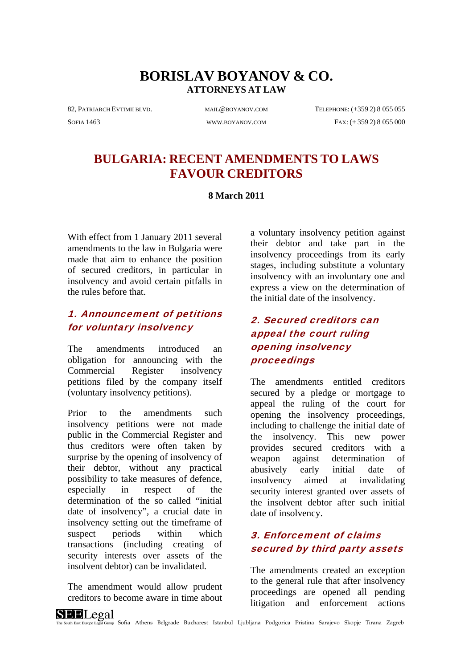# **BORISLAV BOYANOV & CO. ATTORNEYS AT LAW**

82, PATRIARCH EVTIMII BLVD. MAIL@BOYANOV.COM TELEPHONE: (+359 2) 8 055 055

SOFIA 1463 [WWW.BOYANOV.COM](http://www.boyanov.com/) FAX: (+ 359 2) 8 055 000

# **BULGARIA: RECENT AMENDMENTS TO LAWS FAVOUR CREDITORS**

#### **8 March 2011**

With effect from 1 January 2011 several amendments to the law in Bulgaria were made that aim to enhance the position of secured creditors, in particular in insolvency and avoid certain pitfalls in the rules before that.

#### 1. Announcement of petitions for voluntary insolvency

The amendments introduced an obligation for announcing with the Commercial Register insolvency petitions filed by the company itself (voluntary insolvency petitions).

Prior to the amendments such insolvency petitions were not made public in the Commercial Register and thus creditors were often taken by surprise by the opening of insolvency of their debtor, without any practical possibility to take measures of defence, especially in respect of the determination of the so called "initial date of insolvency", a crucial date in insolvency setting out the timeframe of suspect periods within which transactions (including creating of security interests over assets of the insolvent debtor) can be invalidated.

The amendment would allow prudent creditors to become aware in time about a voluntary insolvency petition against their debtor and take part in the insolvency proceedings from its early stages, including substitute a voluntary insolvency with an involuntary one and express a view on the determination of the initial date of the insolvency.

## 2. Secured creditors can appeal the court ruling opening insolvency proceedings

The amendments entitled creditors secured by a pledge or mortgage to appeal the ruling of the court for opening the insolvency proceedings, including to challenge the initial date of the insolvency. This new power provides secured creditors with a weapon against determination of abusively early initial date of insolvency aimed at invalidating security interest granted over assets of the insolvent debtor after such initial date of insolvency.

## 3. Enforcement of claims secured by third party assets

The amendments created an exception to the general rule that after insolvency proceedings are opened all pending litigation and enforcement actions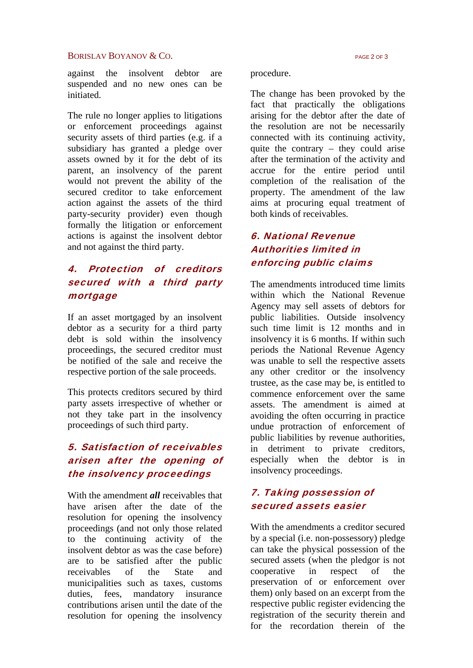#### $BORISLAV BOYANOV & CO.$

against the insolvent debtor are suspended and no new ones can be initiated.

The rule no longer applies to litigations or enforcement proceedings against security assets of third parties (e.g. if a subsidiary has granted a pledge over assets owned by it for the debt of its parent, an insolvency of the parent would not prevent the ability of the secured creditor to take enforcement action against the assets of the third party-security provider) even though formally the litigation or enforcement actions is against the insolvent debtor and not against the third party.

## 4. Protection of creditors secured with a third party mortgage

If an asset mortgaged by an insolvent debtor as a security for a third party debt is sold within the insolvency proceedings, the secured creditor must be notified of the sale and receive the respective portion of the sale proceeds.

This protects creditors secured by third party assets irrespective of whether or not they take part in the insolvency proceedings of such third party.

# 5. Satisfaction of receivables arisen after the opening of the insolvency proceedings

With the amendment *all* receivables that have arisen after the date of the resolution for opening the insolvency proceedings (and not only those related to the continuing activity of the insolvent debtor as was the case before) are to be satisfied after the public receivables of the State and municipalities such as taxes, customs duties, fees, mandatory insurance contributions arisen until the date of the resolution for opening the insolvency

procedure.

The change has been provoked by the fact that practically the obligations arising for the debtor after the date of the resolution are not be necessarily connected with its continuing activity, quite the contrary – they could arise after the termination of the activity and accrue for the entire period until completion of the realisation of the property. The amendment of the law aims at procuring equal treatment of both kinds of receivables.

# 6. National Revenue Authorities limited in enforcing public claims

The amendments introduced time limits within which the National Revenue Agency may sell assets of debtors for public liabilities. Outside insolvency such time limit is 12 months and in insolvency it is 6 months. If within such periods the National Revenue Agency was unable to sell the respective assets any other creditor or the insolvency trustee, as the case may be, is entitled to commence enforcement over the same assets. The amendment is aimed at avoiding the often occurring in practice undue protraction of enforcement of public liabilities by revenue authorities, in detriment to private creditors, especially when the debtor is in insolvency proceedings.

### 7. Taking possession of secured assets easier

With the amendments a creditor secured by a special (i.e. non-possessory) pledge can take the physical possession of the secured assets (when the pledgor is not cooperative in respect of the preservation of or enforcement over them) only based on an excerpt from the respective public register evidencing the registration of the security therein and for the recordation therein of the